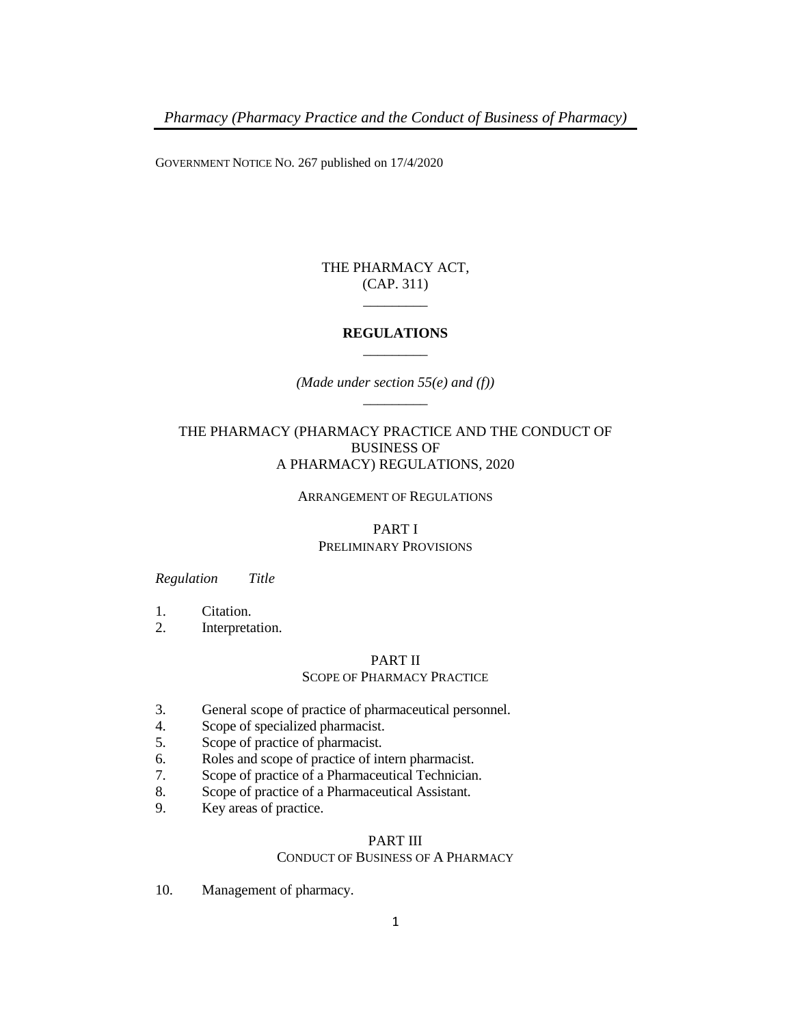GOVERNMENT NOTICE NO. 267 published on 17/4/2020

## THE PHARMACY ACT, (CAP. 311) \_\_\_\_\_\_\_\_\_

## **REGULATIONS** \_\_\_\_\_\_\_\_\_

*(Made under section 55(e) and (f))* \_\_\_\_\_\_\_\_\_

## THE PHARMACY (PHARMACY PRACTICE AND THE CONDUCT OF BUSINESS OF A PHARMACY) REGULATIONS, 2020

### ARRANGEMENT OF REGULATIONS

### PART I PRELIMINARY PROVISIONS

### *Regulation Title*

- 1. Citation.
- 2. Interpretation.

# PART II

## SCOPE OF PHARMACY PRACTICE

- 3. General scope of practice of pharmaceutical personnel.
- 4. Scope of specialized pharmacist.
- 5. Scope of practice of pharmacist.
- 6. Roles and scope of practice of intern pharmacist.
- 7. Scope of practice of a Pharmaceutical Technician.
- 8. Scope of practice of a Pharmaceutical Assistant.
- 9. Key areas of practice.

# PART III

### CONDUCT OF BUSINESS OF A PHARMACY

10. Management of pharmacy.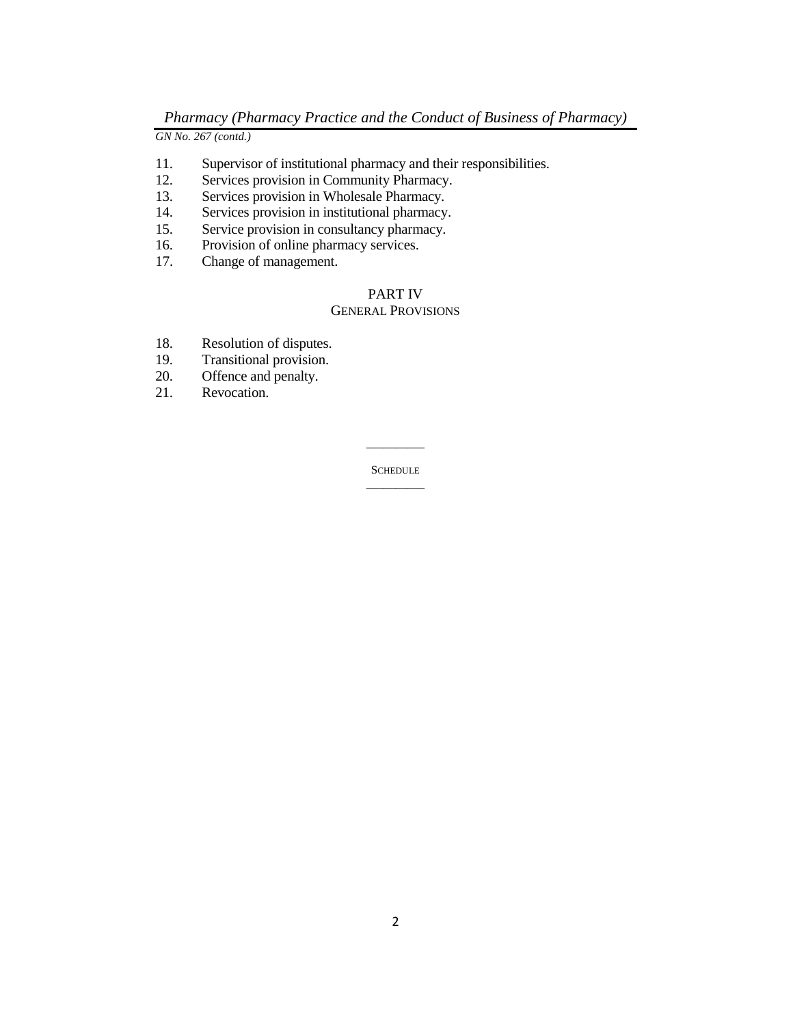*GN No. 267 (contd.)*

- 11. Supervisor of institutional pharmacy and their responsibilities.
- 12. Services provision in Community Pharmacy.
- 13. Services provision in Wholesale Pharmacy.
- 14. Services provision in institutional pharmacy.
- 15. Service provision in consultancy pharmacy.
- 16. Provision of online pharmacy services.
- 17. Change of management.

### PART IV

### GENERAL PROVISIONS

- 18. Resolution of disputes.
- 19. Transitional provision.
- 20. Offence and penalty.
- 21. Revocation.

**SCHEDULE** \_\_\_\_\_\_\_\_\_\_

\_\_\_\_\_\_\_\_\_\_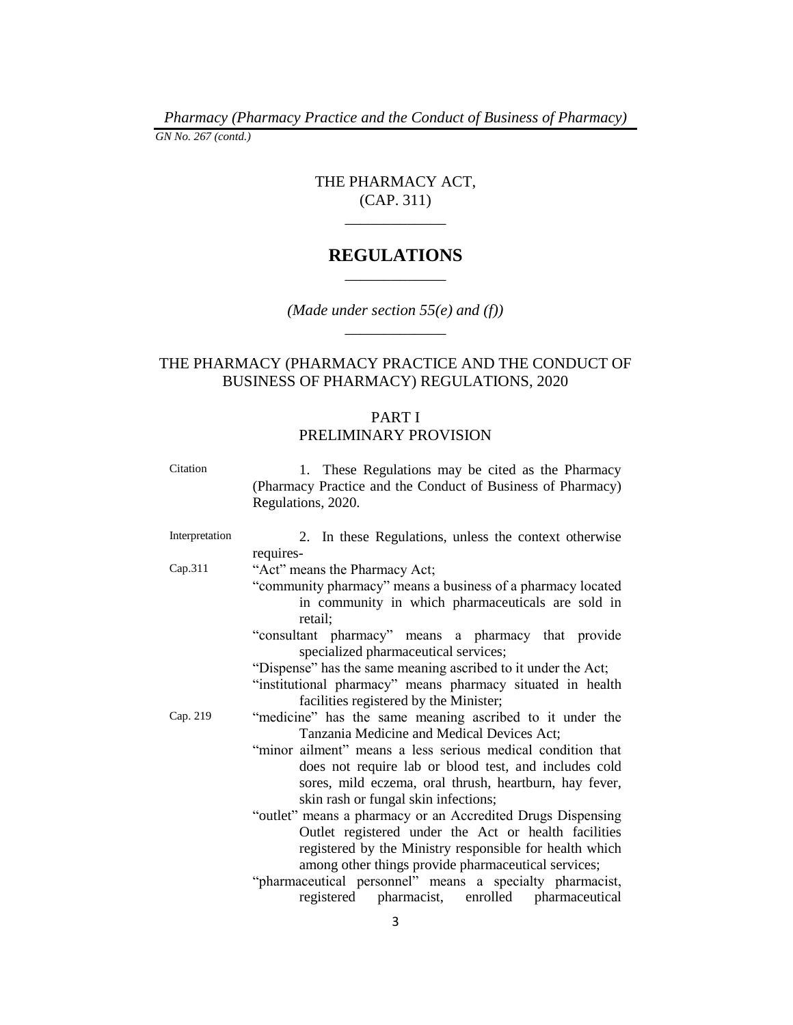*Pharmacy (Pharmacy Practice and the Conduct of Business of Pharmacy) GN No. 267 (contd.)*

# THE PHARMACY ACT, (CAP. 311)

 $\overline{\phantom{a}}$  , we can also the contract of  $\overline{\phantom{a}}$ 

# **REGULATIONS**  $\overline{\phantom{a}}$   $\overline{\phantom{a}}$   $\overline{\phantom{a}}$   $\overline{\phantom{a}}$   $\overline{\phantom{a}}$   $\overline{\phantom{a}}$   $\overline{\phantom{a}}$   $\overline{\phantom{a}}$   $\overline{\phantom{a}}$   $\overline{\phantom{a}}$   $\overline{\phantom{a}}$   $\overline{\phantom{a}}$   $\overline{\phantom{a}}$   $\overline{\phantom{a}}$   $\overline{\phantom{a}}$   $\overline{\phantom{a}}$   $\overline{\phantom{a}}$   $\overline{\phantom{a}}$   $\overline{\$

*(Made under section 55(e) and (f))* \_\_\_\_\_\_\_\_\_\_\_\_\_

# THE PHARMACY (PHARMACY PRACTICE AND THE CONDUCT OF BUSINESS OF PHARMACY) REGULATIONS, 2020

## PART I PRELIMINARY PROVISION

| Citation       | 1. These Regulations may be cited as the Pharmacy<br>(Pharmacy Practice and the Conduct of Business of Pharmacy)<br>Regulations, 2020. |
|----------------|----------------------------------------------------------------------------------------------------------------------------------------|
| Interpretation | 2. In these Regulations, unless the context otherwise                                                                                  |
|                | requires-                                                                                                                              |
| Cap.311        | "Act" means the Pharmacy Act;                                                                                                          |
|                | "community pharmacy" means a business of a pharmacy located                                                                            |
|                | in community in which pharmaceuticals are sold in                                                                                      |
|                | retail:                                                                                                                                |
|                | "consultant pharmacy" means a pharmacy that provide                                                                                    |
|                | specialized pharmaceutical services;                                                                                                   |
|                | "Dispense" has the same meaning ascribed to it under the Act;                                                                          |
|                | "institutional pharmacy" means pharmacy situated in health                                                                             |
|                | facilities registered by the Minister;                                                                                                 |
| Cap. 219       | "medicine" has the same meaning ascribed to it under the                                                                               |
|                | Tanzania Medicine and Medical Devices Act;                                                                                             |
|                | "minor ailment" means a less serious medical condition that                                                                            |
|                | does not require lab or blood test, and includes cold                                                                                  |
|                | sores, mild eczema, oral thrush, heartburn, hay fever,                                                                                 |
|                | skin rash or fungal skin infections;                                                                                                   |
|                | "outlet" means a pharmacy or an Accredited Drugs Dispensing                                                                            |
|                | Outlet registered under the Act or health facilities                                                                                   |
|                | registered by the Ministry responsible for health which                                                                                |
|                | among other things provide pharmaceutical services;                                                                                    |
|                | "pharmaceutical personnel" means a specialty pharmacist,                                                                               |
|                | registered pharmacist, enrolled pharmaceutical                                                                                         |
|                |                                                                                                                                        |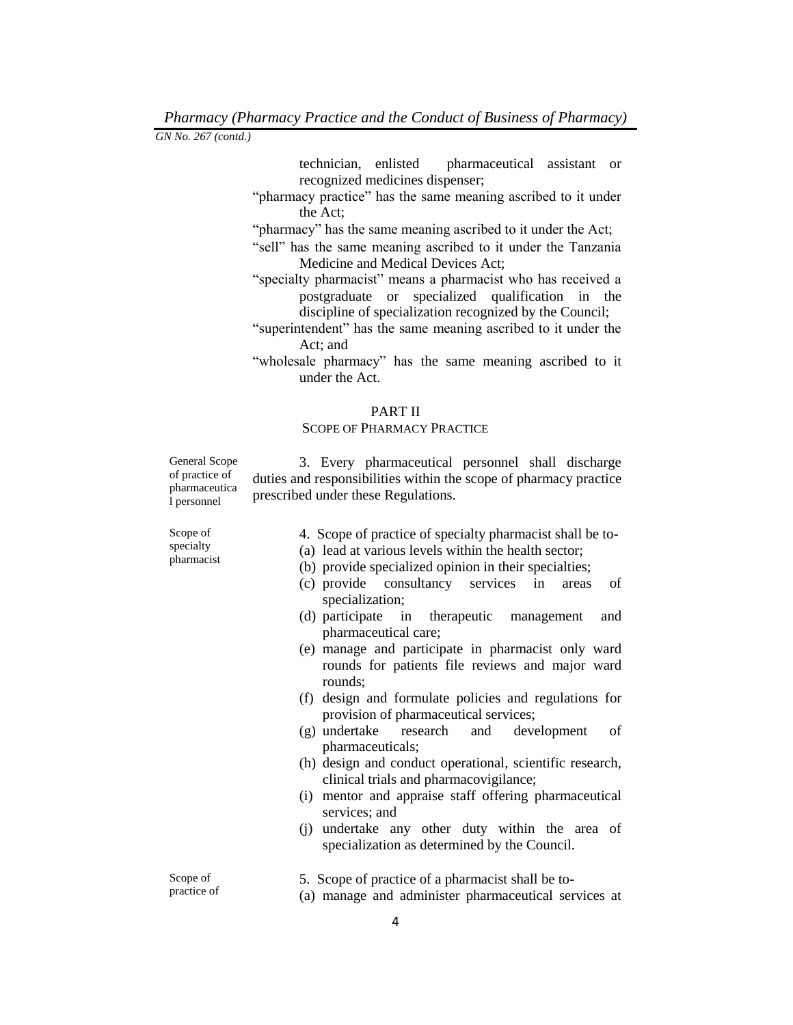technician, enlisted pharmaceutical assistant or recognized medicines dispenser;

- "pharmacy practice" has the same meaning ascribed to it under the Act;
- "pharmacy" has the same meaning ascribed to it under the Act;
- "sell" has the same meaning ascribed to it under the Tanzania Medicine and Medical Devices Act;
- "specialty pharmacist" means a pharmacist who has received a postgraduate or specialized qualification in the discipline of specialization recognized by the Council;
- "superintendent" has the same meaning ascribed to it under the Act; and
- "wholesale pharmacy" has the same meaning ascribed to it under the Act.

### PART II

### SCOPE OF PHARMACY PRACTICE

General Scope of practice of pharmaceutica l personnel

3. Every pharmaceutical personnel shall discharge duties and responsibilities within the scope of pharmacy practice prescribed under these Regulations.

Scope of specialty pharmacist

- 4. Scope of practice of specialty pharmacist shall be to-
- (a) lead at various levels within the health sector;
- (b) provide specialized opinion in their specialties;
- (c) provide consultancy services in areas of specialization;
- (d) participate in therapeutic management and pharmaceutical care;
- (e) manage and participate in pharmacist only ward rounds for patients file reviews and major ward rounds;
- (f) design and formulate policies and regulations for provision of pharmaceutical services;
- (g) undertake research and development of pharmaceuticals;
- (h) design and conduct operational, scientific research, clinical trials and pharmacovigilance;
- (i) mentor and appraise staff offering pharmaceutical services; and
- (j) undertake any other duty within the area of specialization as determined by the Council.

Scope of practice of 5. Scope of practice of a pharmacist shall be to- (a) manage and administer pharmaceutical services at

4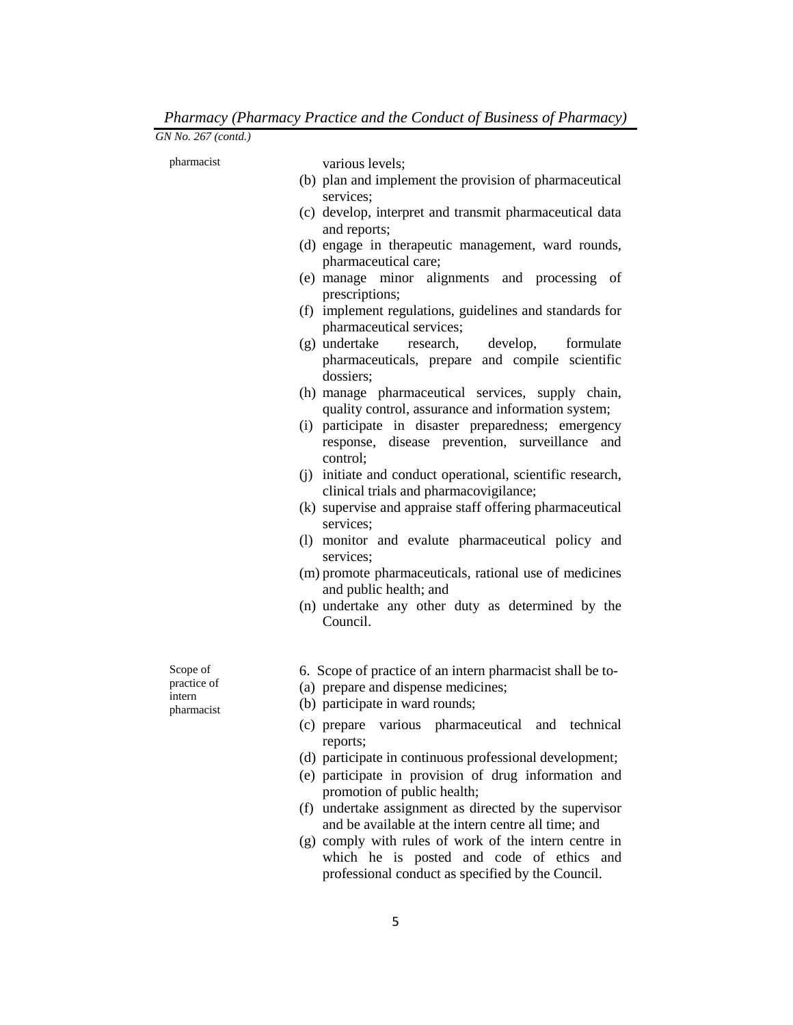| GN No. 267 (contd.)                             |                                                                                                                                                                                                                                                                                                                                                                                                                                                                                                                                                                                                                                                                                                                                                                                                                                                                                                                                                                                                                                                                                                                                                                 |
|-------------------------------------------------|-----------------------------------------------------------------------------------------------------------------------------------------------------------------------------------------------------------------------------------------------------------------------------------------------------------------------------------------------------------------------------------------------------------------------------------------------------------------------------------------------------------------------------------------------------------------------------------------------------------------------------------------------------------------------------------------------------------------------------------------------------------------------------------------------------------------------------------------------------------------------------------------------------------------------------------------------------------------------------------------------------------------------------------------------------------------------------------------------------------------------------------------------------------------|
| pharmacist                                      | various levels;<br>(b) plan and implement the provision of pharmaceutical<br>services;<br>(c) develop, interpret and transmit pharmaceutical data<br>and reports;<br>(d) engage in therapeutic management, ward rounds,<br>pharmaceutical care;<br>(e) manage minor alignments and processing of<br>prescriptions;<br>(f) implement regulations, guidelines and standards for<br>pharmaceutical services;<br>(g) undertake<br>research,<br>develop,<br>formulate<br>pharmaceuticals, prepare and compile scientific<br>dossiers;<br>(h) manage pharmaceutical services, supply chain,<br>quality control, assurance and information system;<br>(i) participate in disaster preparedness; emergency<br>response, disease prevention, surveillance<br>and<br>control;<br>(j) initiate and conduct operational, scientific research,<br>clinical trials and pharmacovigilance;<br>(k) supervise and appraise staff offering pharmaceutical<br>services;<br>(1) monitor and evalute pharmaceutical policy and<br>services;<br>(m) promote pharmaceuticals, rational use of medicines<br>and public health; and<br>(n) undertake any other duty as determined by the |
| Scope of<br>practice of<br>intern<br>pharmacist | Council.<br>6. Scope of practice of an intern pharmacist shall be to-<br>(a) prepare and dispense medicines;<br>(b) participate in ward rounds;<br>(c) prepare various pharmaceutical and technical<br>reports;<br>(d) participate in continuous professional development;<br>(e) participate in provision of drug information and<br>promotion of public health;<br>(f) undertake assignment as directed by the supervisor<br>and be available at the intern centre all time; and                                                                                                                                                                                                                                                                                                                                                                                                                                                                                                                                                                                                                                                                              |

(g) comply with rules of work of the intern centre in which he is posted and code of ethics and professional conduct as specified by the Council.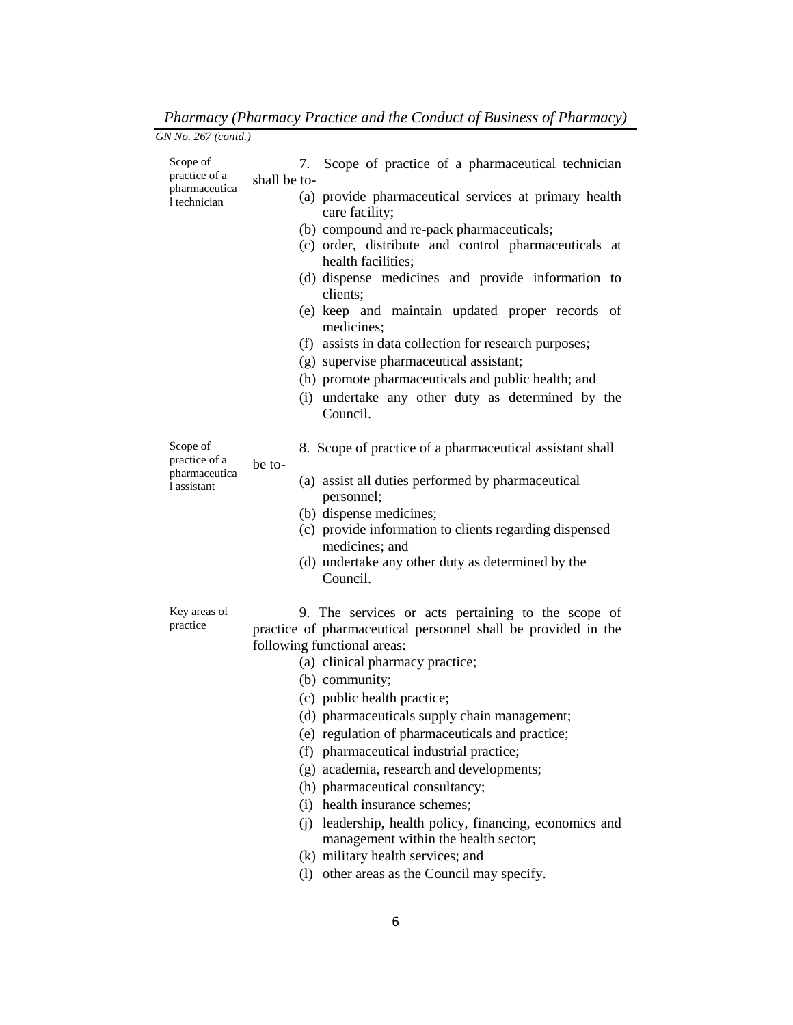| GN No. 267 (contd.)                                        |                                                                                                                                                                                                                                                                                                                                                                                                                                                                                                                                                                                                                                                                                             |
|------------------------------------------------------------|---------------------------------------------------------------------------------------------------------------------------------------------------------------------------------------------------------------------------------------------------------------------------------------------------------------------------------------------------------------------------------------------------------------------------------------------------------------------------------------------------------------------------------------------------------------------------------------------------------------------------------------------------------------------------------------------|
| Scope of<br>practice of a<br>pharmaceutica<br>1 technician | Scope of practice of a pharmaceutical technician<br>7.<br>shall be to-<br>(a) provide pharmaceutical services at primary health<br>care facility;<br>(b) compound and re-pack pharmaceuticals;<br>(c) order, distribute and control pharmaceuticals at<br>health facilities;<br>(d) dispense medicines and provide information to<br>clients;<br>(e) keep and maintain updated proper records of<br>medicines;<br>(f) assists in data collection for research purposes;<br>(g) supervise pharmaceutical assistant;<br>(h) promote pharmaceuticals and public health; and<br>(i) undertake any other duty as determined by the<br>Council.                                                   |
| Scope of<br>practice of a<br>pharmaceutica<br>1 assistant  | 8. Scope of practice of a pharmaceutical assistant shall<br>be to-<br>(a) assist all duties performed by pharmaceutical<br>personnel;<br>(b) dispense medicines;<br>(c) provide information to clients regarding dispensed<br>medicines; and<br>(d) undertake any other duty as determined by the<br>Council.                                                                                                                                                                                                                                                                                                                                                                               |
| Key areas of<br>practice                                   | 9. The services or acts pertaining to the scope of<br>practice of pharmaceutical personnel shall be provided in the<br>following functional areas:<br>(a) clinical pharmacy practice;<br>(b) community;<br>(c) public health practice;<br>(d) pharmaceuticals supply chain management;<br>(e) regulation of pharmaceuticals and practice;<br>(f) pharmaceutical industrial practice;<br>(g) academia, research and developments;<br>(h) pharmaceutical consultancy;<br>(i) health insurance schemes;<br>(j) leadership, health policy, financing, economics and<br>management within the health sector;<br>(k) military health services; and<br>(1) other areas as the Council may specify. |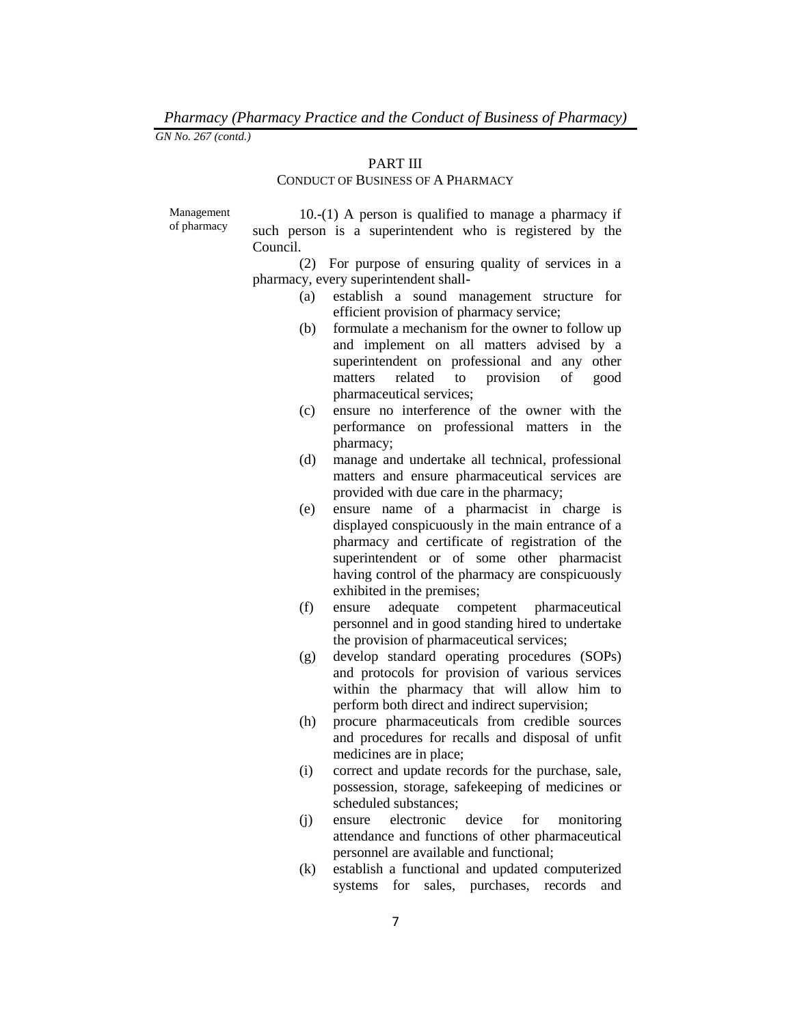# PART III

# CONDUCT OF BUSINESS OF A PHARMACY

Management of pharmacy

10.-(1) A person is qualified to manage a pharmacy if such person is a superintendent who is registered by the Council.

(2) For purpose of ensuring quality of services in a pharmacy, every superintendent shall-

- (a) establish a sound management structure for efficient provision of pharmacy service;
- (b) formulate a mechanism for the owner to follow up and implement on all matters advised by a superintendent on professional and any other matters related to provision of good pharmaceutical services;
- (c) ensure no interference of the owner with the performance on professional matters in the pharmacy;
- (d) manage and undertake all technical, professional matters and ensure pharmaceutical services are provided with due care in the pharmacy;
- (e) ensure name of a pharmacist in charge is displayed conspicuously in the main entrance of a pharmacy and certificate of registration of the superintendent or of some other pharmacist having control of the pharmacy are conspicuously exhibited in the premises;
- (f) ensure adequate competent pharmaceutical personnel and in good standing hired to undertake the provision of pharmaceutical services;
- (g) develop standard operating procedures (SOPs) and protocols for provision of various services within the pharmacy that will allow him to perform both direct and indirect supervision;
- (h) procure pharmaceuticals from credible sources and procedures for recalls and disposal of unfit medicines are in place;
- (i) correct and update records for the purchase, sale, possession, storage, safekeeping of medicines or scheduled substances;
- (j) ensure electronic device for monitoring attendance and functions of other pharmaceutical personnel are available and functional;
- (k) establish a functional and updated computerized systems for sales, purchases, records and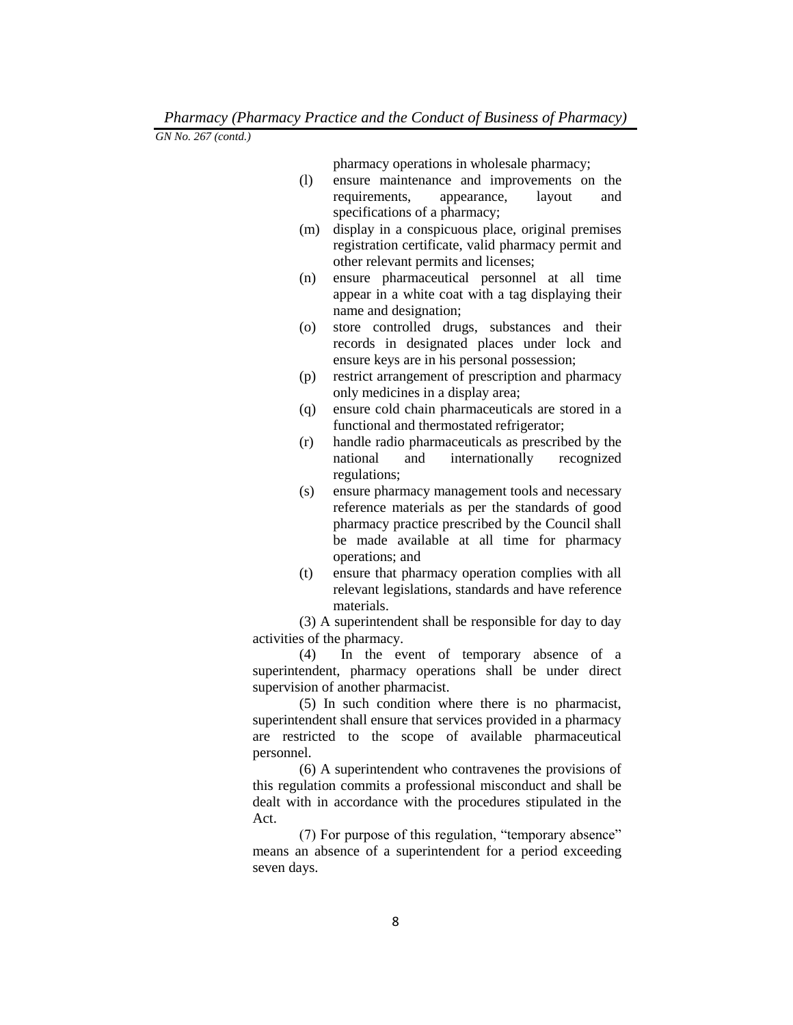pharmacy operations in wholesale pharmacy;

- (l) ensure maintenance and improvements on the requirements, appearance, layout and specifications of a pharmacy;
- (m) display in a conspicuous place, original premises registration certificate, valid pharmacy permit and other relevant permits and licenses;
- (n) ensure pharmaceutical personnel at all time appear in a white coat with a tag displaying their name and designation;
- (o) store controlled drugs, substances and their records in designated places under lock and ensure keys are in his personal possession;
- (p) restrict arrangement of prescription and pharmacy only medicines in a display area;
- (q) ensure cold chain pharmaceuticals are stored in a functional and thermostated refrigerator;
- (r) handle radio pharmaceuticals as prescribed by the national and internationally recognized regulations;
- (s) ensure pharmacy management tools and necessary reference materials as per the standards of good pharmacy practice prescribed by the Council shall be made available at all time for pharmacy operations; and
- (t) ensure that pharmacy operation complies with all relevant legislations, standards and have reference materials.

(3) A superintendent shall be responsible for day to day activities of the pharmacy.

(4) In the event of temporary absence of a superintendent, pharmacy operations shall be under direct supervision of another pharmacist.

(5) In such condition where there is no pharmacist, superintendent shall ensure that services provided in a pharmacy are restricted to the scope of available pharmaceutical personnel.

(6) A superintendent who contravenes the provisions of this regulation commits a professional misconduct and shall be dealt with in accordance with the procedures stipulated in the Act.

(7) For purpose of this regulation, "temporary absence" means an absence of a superintendent for a period exceeding seven days.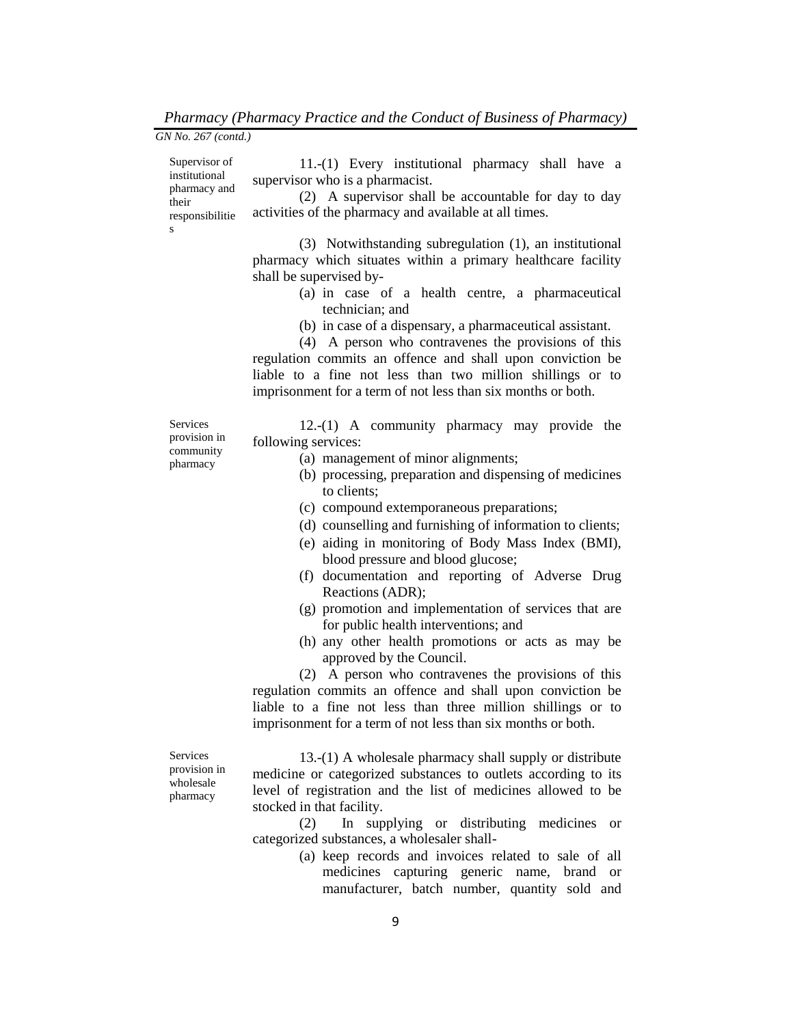| GN No. 267 (contd.)                                                             |                                                                                                                                                                                                                                                                                         |
|---------------------------------------------------------------------------------|-----------------------------------------------------------------------------------------------------------------------------------------------------------------------------------------------------------------------------------------------------------------------------------------|
| Supervisor of<br>institutional<br>pharmacy and<br>their<br>responsibilitie<br>S | 11.-(1) Every institutional pharmacy shall have a<br>supervisor who is a pharmacist.<br>(2) A supervisor shall be accountable for day to day<br>activities of the pharmacy and available at all times.<br>(3) Notwithstanding subregulation (1), an institutional                       |
|                                                                                 | pharmacy which situates within a primary healthcare facility<br>shall be supervised by-                                                                                                                                                                                                 |
|                                                                                 | (a) in case of a health centre, a pharmaceutical<br>technician; and<br>(b) in case of a dispensary, a pharmaceutical assistant.<br>(4) A person who contravenes the provisions of this                                                                                                  |
|                                                                                 | regulation commits an offence and shall upon conviction be<br>liable to a fine not less than two million shillings or to<br>imprisonment for a term of not less than six months or both.                                                                                                |
| Services<br>provision in<br>community<br>pharmacy                               | 12.-(1) A community pharmacy may provide the<br>following services:<br>(a) management of minor alignments;<br>(b) processing, preparation and dispensing of medicines<br>to clients;                                                                                                    |
|                                                                                 | (c) compound extemporaneous preparations;<br>(d) counselling and furnishing of information to clients;<br>(e) aiding in monitoring of Body Mass Index (BMI),<br>blood pressure and blood glucose;<br>(f) documentation and reporting of Adverse Drug                                    |
|                                                                                 | Reactions (ADR);<br>(g) promotion and implementation of services that are<br>for public health interventions; and                                                                                                                                                                       |
|                                                                                 | (h) any other health promotions or acts as may be<br>approved by the Council.<br>(2) A person who contravenes the provisions of this<br>regulation commits an offence and shall upon conviction be<br>liable to a fine not less than three million shillings or to                      |
| Services<br>provision in<br>wholesale<br>pharmacy                               | imprisonment for a term of not less than six months or both.<br>13.-(1) A wholesale pharmacy shall supply or distribute<br>medicine or categorized substances to outlets according to its<br>level of registration and the list of medicines allowed to be<br>stocked in that facility. |
|                                                                                 | supplying or distributing medicines<br>(2)<br>In<br><b>or</b><br>categorized substances, a wholesaler shall-                                                                                                                                                                            |

(a) keep records and invoices related to sale of all medicines capturing generic name, brand or manufacturer, batch number, quantity sold and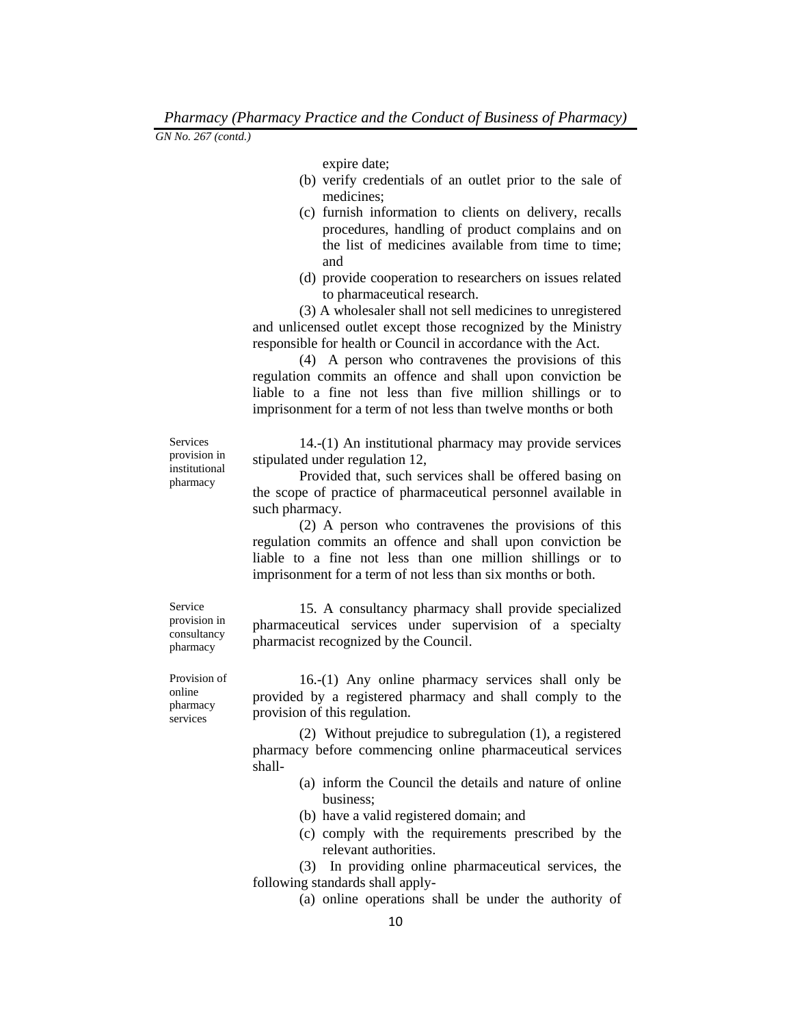expire date;

- (b) verify credentials of an outlet prior to the sale of medicines;
- (c) furnish information to clients on delivery, recalls procedures, handling of product complains and on the list of medicines available from time to time; and
- (d) provide cooperation to researchers on issues related to pharmaceutical research.

(3) A wholesaler shall not sell medicines to unregistered and unlicensed outlet except those recognized by the Ministry responsible for health or Council in accordance with the Act.

(4) A person who contravenes the provisions of this regulation commits an offence and shall upon conviction be liable to a fine not less than five million shillings or to imprisonment for a term of not less than twelve months or both

**Services** provision in institutional pharmacy

14.-(1) An institutional pharmacy may provide services stipulated under regulation 12,

Provided that, such services shall be offered basing on the scope of practice of pharmaceutical personnel available in such pharmacy.

(2) A person who contravenes the provisions of this regulation commits an offence and shall upon conviction be liable to a fine not less than one million shillings or to imprisonment for a term of not less than six months or both.

15. A consultancy pharmacy shall provide specialized pharmaceutical services under supervision of a specialty pharmacist recognized by the Council.

Provision of online pharmacy services

Service provision in consultancy pharmacy

> 16.-(1) Any online pharmacy services shall only be provided by a registered pharmacy and shall comply to the provision of this regulation.

> (2) Without prejudice to subregulation (1), a registered pharmacy before commencing online pharmaceutical services shall-

- (a) inform the Council the details and nature of online business;
- (b) have a valid registered domain; and
- (c) comply with the requirements prescribed by the relevant authorities.

(3) In providing online pharmaceutical services, the following standards shall apply-

(a) online operations shall be under the authority of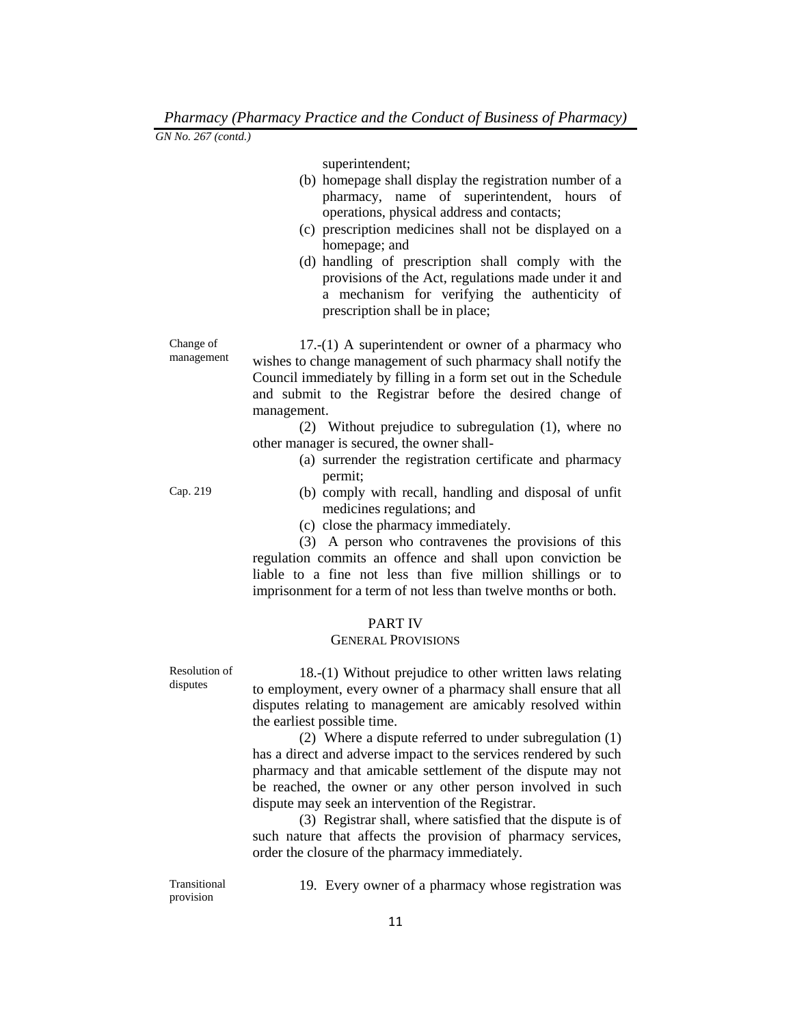superintendent;

- (b) homepage shall display the registration number of a pharmacy, name of superintendent, hours of operations, physical address and contacts;
- (c) prescription medicines shall not be displayed on a homepage; and
- (d) handling of prescription shall comply with the provisions of the Act, regulations made under it and a mechanism for verifying the authenticity of prescription shall be in place;

Change of management 17.-(1) A superintendent or owner of a pharmacy who wishes to change management of such pharmacy shall notify the Council immediately by filling in a form set out in the Schedule and submit to the Registrar before the desired change of management.

> (2) Without prejudice to subregulation (1), where no other manager is secured, the owner shall-

- (a) surrender the registration certificate and pharmacy permit;
- Cap. 219 (b) comply with recall, handling and disposal of unfit medicines regulations; and
	- (c) close the pharmacy immediately.

(3) A person who contravenes the provisions of this regulation commits an offence and shall upon conviction be liable to a fine not less than five million shillings or to imprisonment for a term of not less than twelve months or both.

### PART IV

### GENERAL PROVISIONS

Resolution of disputes

18.-(1) Without prejudice to other written laws relating to employment, every owner of a pharmacy shall ensure that all disputes relating to management are amicably resolved within the earliest possible time.

(2) Where a dispute referred to under subregulation (1) has a direct and adverse impact to the services rendered by such pharmacy and that amicable settlement of the dispute may not be reached, the owner or any other person involved in such dispute may seek an intervention of the Registrar.

(3) Registrar shall, where satisfied that the dispute is of such nature that affects the provision of pharmacy services, order the closure of the pharmacy immediately.

Transitional provision

19. Every owner of a pharmacy whose registration was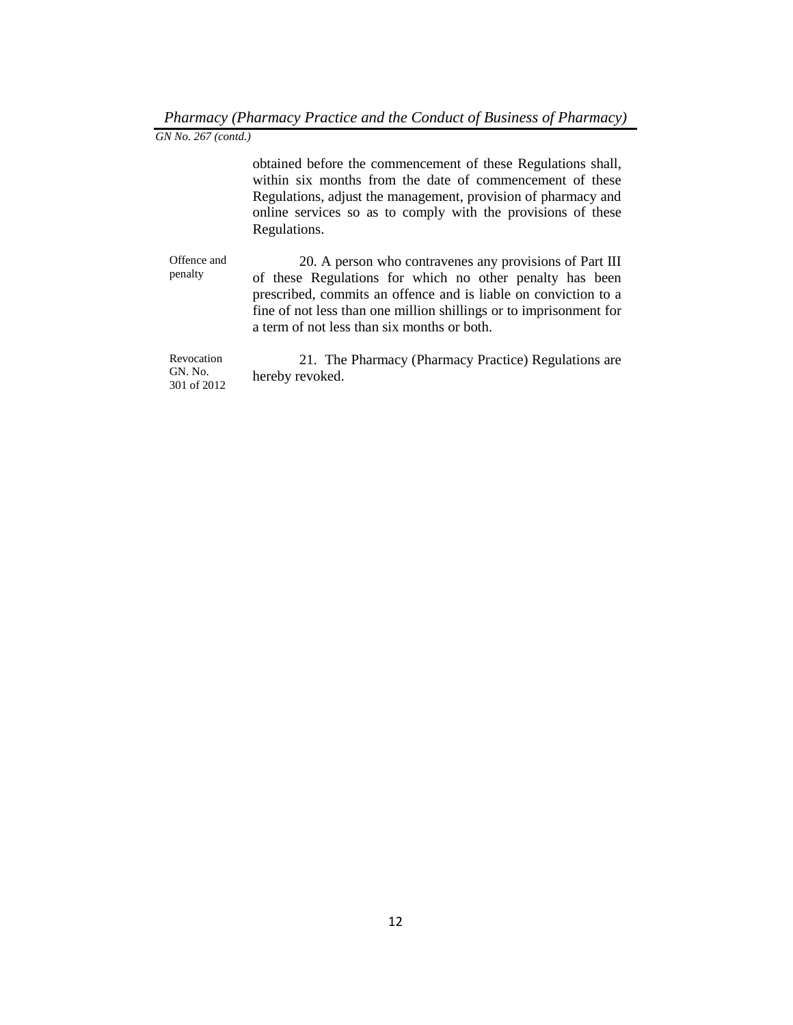obtained before the commencement of these Regulations shall, within six months from the date of commencement of these Regulations, adjust the management, provision of pharmacy and online services so as to comply with the provisions of these Regulations.

Offence and penalty 20. A person who contravenes any provisions of Part III of these Regulations for which no other penalty has been prescribed, commits an offence and is liable on conviction to a fine of not less than one million shillings or to imprisonment for a term of not less than six months or both.

Revocation GN. No. 301 of 2012 21. The Pharmacy (Pharmacy Practice) Regulations are hereby revoked.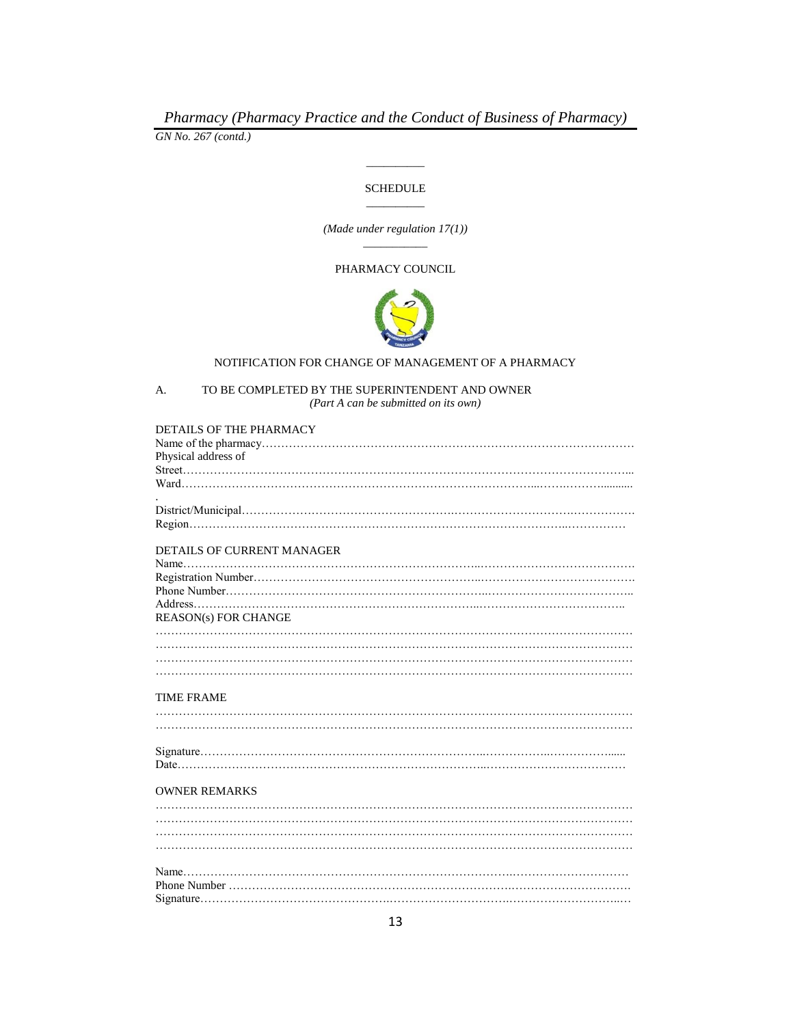*GN No. 267 (contd.)*

# \_\_\_\_\_\_\_\_\_\_ **SCHEDULE** \_\_\_\_\_\_\_\_\_\_

*(Made under regulation 17(1))* \_\_\_\_\_\_\_\_\_\_\_

#### PHARMACY COUNCIL



#### NOTIFICATION FOR CHANGE OF MANAGEMENT OF A PHARMACY

A. TO BE COMPLETED BY THE SUPERINTENDENT AND OWNER *(Part A can be submitted on its own)*

| DETAILS OF THE PHARMACY    |
|----------------------------|
|                            |
| Physical address of        |
|                            |
|                            |
|                            |
|                            |
|                            |
|                            |
| DETAILS OF CURRENT MANAGER |
|                            |
|                            |
|                            |
|                            |
| REASON(s) FOR CHANGE       |
|                            |
|                            |
|                            |
|                            |
|                            |
| <b>TIME FRAME</b>          |
|                            |
|                            |
|                            |
|                            |
|                            |
|                            |
| <b>OWNER REMARKS</b>       |
|                            |
|                            |
|                            |
|                            |
|                            |
|                            |
|                            |
|                            |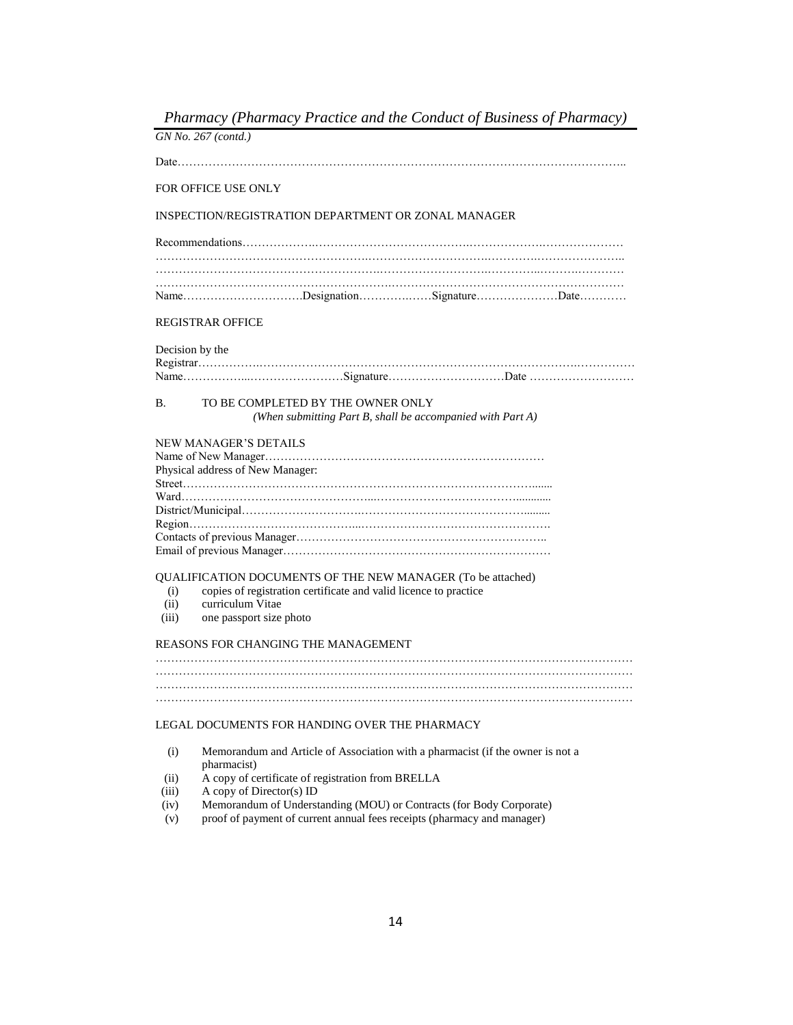*Pharmacy (Pharmacy Practice and the Conduct of Business of Pharmacy) GN No. 267 (contd.)* Date…………………………………………………………………………………………………….. FOR OFFICE USE ONLY INSPECTION/REGISTRATION DEPARTMENT OR ZONAL MANAGER Recommendations……………….………………………………….……………….………………… ……………………………………………….………………………….………….………………….. ………………………………………………….……………………….…………..……….………… …………………………………………………….…………………………………………………… Name………………………….Designation………….……Signature…………………Date………… REGISTRAR OFFICE Decision by the Registrar…………….……………………………………………………………………….…………… Name……………...……………………Signature…………………………Date ……………………… B. TO BE COMPLETED BY THE OWNER ONLY *(When submitting Part B, shall be accompanied with Part A)* NEW MANAGER'S DETAILS Name of New Manager……………………………………………………………… Physical address of New Manager: Street………………………………………………………………………………....... Ward…………………………………………...………………………………............ District/Municipal………………………….……………………………………......... Region……………………………………...…………………………………………. Contacts of previous Manager……………………………………………………….. Email of previous Manager…………………………………………………………… QUALIFICATION DOCUMENTS OF THE NEW MANAGER (To be attached) (i) copies of registration certificate and valid licence to practice (ii) curriculum Vitae (iii) one passport size photo REASONS FOR CHANGING THE MANAGEMENT …………………………………………………………………………………………………………… …………………………………………………………………………………………………………… …………………………………………………………………………………………………………… LEGAL DOCUMENTS FOR HANDING OVER THE PHARMACY (i) Memorandum and Article of Association with a pharmacist (if the owner is not a pharmacist) (ii) A copy of certificate of registration from BRELLA (iii) A copy of Director(s) ID (iv) Memorandum of Understanding (MOU) or Contracts (for Body Corporate)

(v) proof of payment of current annual fees receipts (pharmacy and manager)